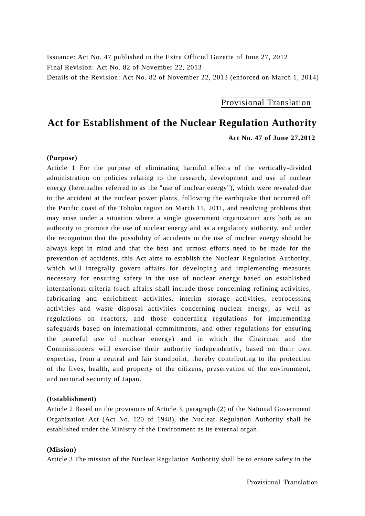Issuance: Act No. 47 published in the Extra Official Gazette of June 27, 2012 Final Revision: Act No. 82 of November 22, 2013 Details of the Revision: Act No. 82 of November 22, 2013 (enforced on March 1, 2014)

Provisional Translation

# **Act for Establishment of the Nuclear Regulation Authority**

 **Act No. 47 of June 27,2012**

## **(Purpose)**

Article 1 For the purpose of eliminating harmful effects of the vertically-divided administration on policies relating to the research, development and use of nuclear energy (hereinafter referred to as the "use of nuclear energy"), which were revealed due to the accident at the nuclear power plants, following the earthquake that occurred off the Pacific coast of the Tohoku region on March 11, 2011, and resolving problems that may arise under a situation where a single government organization acts both as an authority to promote the use of nuclear energy and as a regulatory authority, and under the recognition that the possibility of accidents in the use of nuclear energy should be always kept in mind and that the best and utmost efforts need to be made for the prevention of accidents, this Act aims to establish the Nuclear Regulation Authority, which will integrally govern affairs for developing and implementing measures necessary for ensuring safety in the use of nuclear energy based on established international criteria (such affairs shall include those concerning refining activities, fabricating and enrichment activities, interim storage activities, reprocessing activities and waste disposal activities concerning nuclear energy, as well as regulations on reactors, and those concerning regulations for implementing safeguards based on international commitments, and other regulations for ensuring the peaceful use of nuclear energy) and in which the Chairman and the Commissioners will exercise their authority independently, based on their own expertise, from a neutral and fair standpoint, thereby contributing to the protection of the lives, health, and property of the citizens, preservation of the environment, and national security of Japan.

## **(Establishment)**

Article 2 Based on the provisions of Article 3, paragraph (2) of the National Government Organization Act (Act No. 120 of 1948), the Nuclear Regulation Authority shall be established under the Ministry of the Environment as its external organ.

#### **(Mission)**

Article 3 The mission of the Nuclear Regulation Authority shall be to ensure safety in the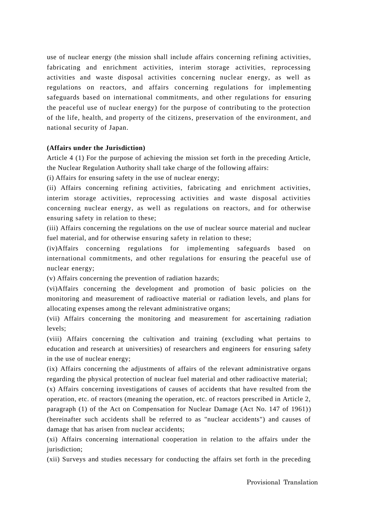use of nuclear energy (the mission shall include affairs concerning refining activities, fabricating and enrichment activities, interim storage activities, reprocessing activities and waste disposal activities concerning nuclear energy, as well as regulations on reactors, and affairs concerning regulations for implementing safeguards based on international commitments, and other regulations for ensuring the peaceful use of nuclear energy) for the purpose of contributing to the protection of the life, health, and property of the citizens, preservation of the environment, and national security of Japan.

#### **(Affairs under the Jurisdiction)**

Article 4 (1) For the purpose of achieving the mission set forth in the preceding Article, the Nuclear Regulation Authority shall take charge of the following affairs:

(i) Affairs for ensuring safety in the use of nuclear energy;

(ii) Affairs concerning refining activities, fabricating and enrichment activities, interim storage activities, reprocessing activities and waste disposal activities concerning nuclear energy, as well as regulations on reactors, and for otherwise ensuring safety in relation to these;

(iii) Affairs concerning the regulations on the use of nuclear source material and nuclear fuel material, and for otherwise ensuring safety in relation to these;

(iv)Affairs concerning regulations for implementing safeguards based on international commitments, and other regulations for ensuring the peaceful use of nuclear energy;

(v) Affairs concerning the prevention of radiation hazards;

(vi)Affairs concerning the development and promotion of basic policies on the monitoring and measurement of radioactive material or radiation levels, and plans for allocating expenses among the relevant administrative organs;

(vii) Affairs concerning the monitoring and measurement for ascertaining radiation levels;

(viii) Affairs concerning the cultivation and training (excluding what pertains to education and research at universities) of researchers and engineers for ensuring safety in the use of nuclear energy;

(ix) Affairs concerning the adjustments of affairs of the relevant administrative organs regarding the physical protection of nuclear fuel material and other radioactive material;

(x) Affairs concerning investigations of causes of accidents that have resulted from the operation, etc. of reactors (meaning the operation, etc. of reactors prescribed in Article 2, paragraph (1) of the Act on Compensation for Nuclear Damage (Act No. 147 of 1961)) (hereinafter such accidents shall be referred to as "nuclear accidents") and causes of damage that has arisen from nuclear accidents;

(xi) Affairs concerning international cooperation in relation to the affairs under the jurisdiction;

(xii) Surveys and studies necessary for conducting the affairs set forth in the preceding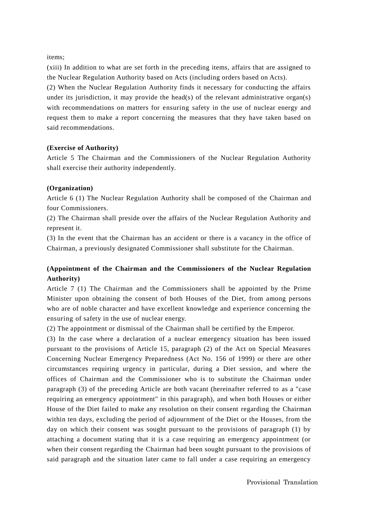items;

(xiii) In addition to what are set forth in the preceding items, affairs that are assigned to the Nuclear Regulation Authority based on Acts (including orders based on Acts).

(2) When the Nuclear Regulation Authority finds it necessary for conducting the affairs under its jurisdiction, it may provide the head(s) of the relevant administrative organ(s) with recommendations on matters for ensuring safety in the use of nuclear energy and request them to make a report concerning the measures that they have taken based on said recommendations.

## **(Exercise of Authority)**

Article 5 The Chairman and the Commissioners of the Nuclear Regulation Authority shall exercise their authority independently.

## **(Organization)**

Article 6 (1) The Nuclear Regulation Authority shall be composed of the Chairman and four Commissioners.

(2) The Chairman shall preside over the affairs of the Nuclear Regulation Authority and represent it.

(3) In the event that the Chairman has an accident or there is a vacancy in the office of Chairman, a previously designated Commissioner shall substitute for the Chairman.

## **(Appointment of the Chairman and the Commissioners of the Nuclear Regulation Authority)**

Article 7 (1) The Chairman and the Commissioners shall be appointed by the Prime Minister upon obtaining the consent of both Houses of the Diet, from among persons who are of noble character and have excellent knowledge and experience concerning the ensuring of safety in the use of nuclear energy.

(2) The appointment or dismissal of the Chairman shall be certified by the Emperor.

(3) In the case where a declaration of a nuclear emergency situation has been issued pursuant to the provisions of Article 15, paragraph (2) of the Act on Special Measures Concerning Nuclear Emergency Preparedness (Act No. 156 of 1999) or there are other circumstances requiring urgency in particular, during a Diet session, and where the offices of Chairman and the Commissioner who is to substitute the Chairman under paragraph (3) of the preceding Article are both vacant (hereinafter referred to as a "case requiring an emergency appointment" in this paragraph), and when both Houses or either House of the Diet failed to make any resolution on their consent regarding the Chairman within ten days, excluding the period of adjournment of the Diet or the Houses, from the day on which their consent was sought pursuant to the provisions of paragraph (1) by attaching a document stating that it is a case requiring an emergency appointment (or when their consent regarding the Chairman had been sought pursuant to the provisions of said paragraph and the situation later came to fall under a case requiring an emergency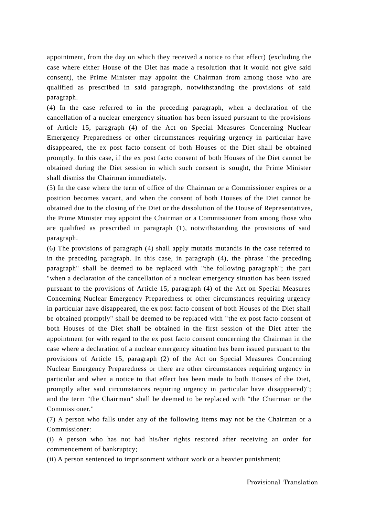appointment, from the day on which they received a notice to that effect) (excluding the case where either House of the Diet has made a resolution that it would not give said consent), the Prime Minister may appoint the Chairman from among those who are qualified as prescribed in said paragraph, notwithstanding the provisions of said paragraph.

(4) In the case referred to in the preceding paragraph, when a declaration of the cancellation of a nuclear emergency situation has been issued pursuant to the provisions of Article 15, paragraph (4) of the Act on Special Measures Concerning Nuclear Emergency Preparedness or other circumstances requiring urgency in particular have disappeared, the ex post facto consent of both Houses of the Diet shall be obtained promptly. In this case, if the ex post facto consent of both Houses of the Diet cannot be obtained during the Diet session in which such consent is sought, the Prime Minister shall dismiss the Chairman immediately.

(5) In the case where the term of office of the Chairman or a Commissioner expires or a position becomes vacant, and when the consent of both Houses of the Diet cannot be obtained due to the closing of the Diet or the dissolution of the House of Representatives, the Prime Minister may appoint the Chairman or a Commissioner from among those who are qualified as prescribed in paragraph (1), notwithstanding the provisions of said paragraph.

(6) The provisions of paragraph (4) shall apply mutatis mutandis in the case referred to in the preceding paragraph. In this case, in paragraph (4), the phrase "the preceding paragraph" shall be deemed to be replaced with "the following paragraph"; the part "when a declaration of the cancellation of a nuclear emergency situation has been issued pursuant to the provisions of Article 15, paragraph (4) of the Act on Special Measures Concerning Nuclear Emergency Preparedness or other circumstances requiring urgency in particular have disappeared, the ex post facto consent of both Houses of the Diet shall be obtained promptly" shall be deemed to be replaced with " the ex post facto consent of both Houses of the Diet shall be obtained in the first session of the Diet after the appointment (or with regard to the ex post facto consent concerning the Chairman in the case where a declaration of a nuclear emergency situation has been issued pursuant to the provisions of Article 15, paragraph (2) of the Act on Special Measures Concerning Nuclear Emergency Preparedness or there are other circumstances requiring urgency in particular and when a notice to that effect has been made to both Houses of the Diet, promptly after said circumstances requiring urgency in particular have disappeared)"; and the term "the Chairman" shall be deemed to be replaced with "the Chairman or the Commissioner."

(7) A person who falls under any of the following items may not be the Chairman or a Commissioner:

(i) A person who has not had his/her rights restored after receiving an order for commencement of bankruptcy;

(ii) A person sentenced to imprisonment without work or a heavier punishment;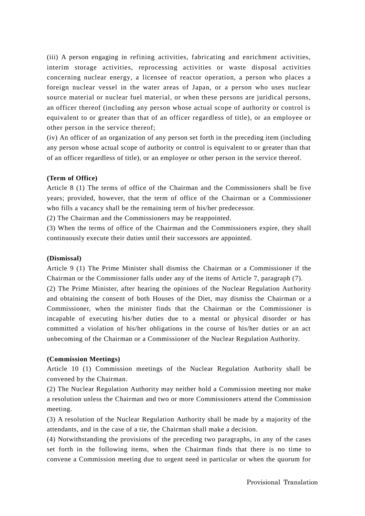(iii) A person engaging in refining activities, fabricating and enrichment activities, interim storage activities, reprocessing activities or waste disposal activities concerning nuclear energy, a licensee of reactor operation, a person who places a foreign nuclear vessel in the water areas of Japan, or a person who uses nuclear source material or nuclear fuel material, or when these persons are juridical persons, an officer thereof (including any person whose actual scope of authority or control is equivalent to or greater than that of an officer regardless of title), or an employee or other person in the service thereof;

(iv) An officer of an organization of any person set forth in the preceding item (including any person whose actual scope of authority or control is equivalent to or greater than that of an officer regardless of title), or an employee or other person in the service thereof.

#### **(Term of Office)**

Article 8 (1) The terms of office of the Chairman and the Commissioners shall be five years; provided, however, that the term of office of the Chairman or a Commissioner who fills a vacancy shall be the remaining term of his/her predecessor.

(2) The Chairman and the Commissioners may be reappointed.

(3) When the terms of office of the Chairman and the Commissioners expire, they shall continuously execute their duties until their successors are appointed.

## **(Dismissal)**

Article 9 (1) The Prime Minister shall dismiss the Chairman or a Commissioner if the Chairman or the Commissioner falls under any of the items of Article 7, paragraph (7).

(2) The Prime Minister, after hearing the opinions of the Nuclear Regulation Authority and obtaining the consent of both Houses of the Diet, may dismiss the Chairman or a Commissioner, when the minister finds that the Chairman or the Commissioner is incapable of executing his/her duties due to a mental or physical disorder or has committed a violation of his/her obligations in the course of his/her duties or an act unbecoming of the Chairman or a Commissioner of the Nuclear Regulation Authority.

#### **(Commission Meetings)**

Article 10 (1) Commission meetings of the Nuclear Regulation Authority shall be convened by the Chairman.

(2) The Nuclear Regulation Authority may neither hold a Commission meeting nor make a resolution unless the Chairman and two or more Commissioners attend the Commission meeting.

(3) A resolution of the Nuclear Regulation Authority shall be made by a majority of the attendants, and in the case of a tie, the Chairman shall make a decision.

(4) Notwithstanding the provisions of the preceding two paragraphs, in any of the cases set forth in the following items, when the Chairman finds that there is no time to convene a Commission meeting due to urgent need in particular or when the quorum for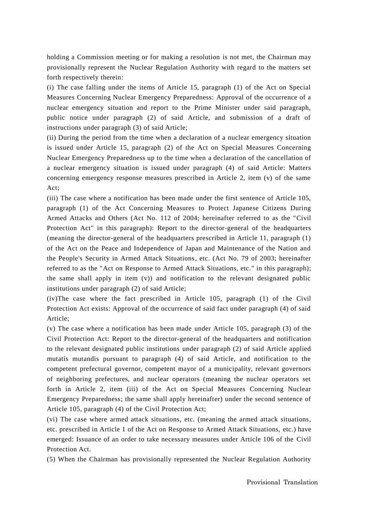holding a Commission meeting or for making a resolution is not met, the Chairman may provisionally represent the Nuclear Regulation Authority with regard to the matters set forth respectively therein:

(i) The case falling under the items of Article 15, paragraph (1) of the Act on Special Measures Concerning Nuclear Emergency Preparedness: Approval of the occurrence of a nuclear emergency situation and report to the Prime Minister under said paragraph, public notice under paragraph (2) of said Article, and submission of a draft of instructions under paragraph (3) of said Article;

(ii) During the period from the time when a declaration of a nuclear emergency situation is issued under Article 15, paragraph (2) of the Act on Special Measures Concerning Nuclear Emergency Preparedness up to the time when a declaration of the cancellation of a nuclear emergency situation is issued under paragraph (4) of said Article: Matters concerning emergency response measures prescribed in Article 2, item (v) of the same Act;

(iii) The case where a notification has been made under the first sentence of Article 105, paragraph (1) of the Act Concerning Measures to Protect Japanese Citizens During Armed Attacks and Others (Act No. 112 of 2004; hereinafter referred to as the "Civil Protection Act" in this paragraph): Report to the director-general of the headquarters (meaning the director-general of the headquarters prescribed in Article 11, paragraph (1) of the Act on the Peace and Independence of Japan and Maintenance of the Nation and the People's Security in Armed Attack Situations, etc. (Act No. 79 of 2003; hereinafter referred to as the "Act on Response to Armed Attack Situations, etc." in this paragraph); the same shall apply in item (v)) and notification to the relevant designated public institutions under paragraph (2) of said Article;

(iv)The case where the fact prescribed in Article 105, paragraph (1) of the Civil Protection Act exists: Approval of the occurrence of said fact under paragraph (4) of said Article;

(v) The case where a notification has been made under Article 105, paragraph (3) of the Civil Protection Act: Report to the director-general of the headquarters and notification to the relevant designated public institutions under paragraph (2) of said Article applied mutatis mutandis pursuant to paragraph (4) of said Article, and notification to the competent prefectural governor, competent mayor of a municipality, relevant governors of neighboring prefectures, and nuclear operators (meaning the nuclear operators set forth in Article 2, item (iii) of the Act on Special Measures Concerning Nuclear Emergency Preparedness; the same shall apply hereinafter) under the second sentence of Article 105, paragraph (4) of the Civil Protection Act;

(vi) The case where armed attack situations, etc. (meaning the armed attack situations, etc. prescribed in Article 1 of the Act on Response to Armed Attack Situations, etc.) have emerged: Issuance of an order to take necessary measures under Article 106 of the Civil Protection Act.

(5) When the Chairman has provisionally represented the Nuclear Regulation Authority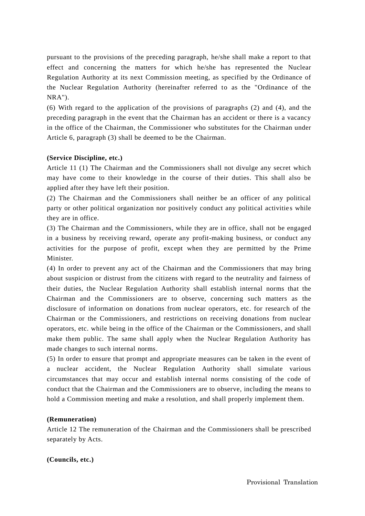pursuant to the provisions of the preceding paragraph, he/she shall make a report to that effect and concerning the matters for which he/she has represented the Nuclear Regulation Authority at its next Commission meeting, as specified by the Ordinance of the Nuclear Regulation Authority (hereinafter referred to as the "Ordinance of the NRA").

(6) With regard to the application of the provisions of paragraphs (2) and (4), and the preceding paragraph in the event that the Chairman has an accident or there is a vacancy in the office of the Chairman, the Commissioner who substitutes for the Chairman under Article 6, paragraph (3) shall be deemed to be the Chairman.

## **(Service Discipline, etc.)**

Article 11 (1) The Chairman and the Commissioners shall not divulge any secret which may have come to their knowledge in the course of their duties. This shall also be applied after they have left their position.

(2) The Chairman and the Commissioners shall neither be an officer of any political party or other political organization nor positively conduct any political activities while they are in office.

(3) The Chairman and the Commissioners, while they are in office, shall not be engaged in a business by receiving reward, operate any profit-making business, or conduct any activities for the purpose of profit, except when they are permitted by the Prime Minister.

(4) In order to prevent any act of the Chairman and the Commissioners that may bring about suspicion or distrust from the citizens with regard to the neutrality and fairness of their duties, the Nuclear Regulation Authority shall establish internal norms that the Chairman and the Commissioners are to observe, concerning such matters as the disclosure of information on donations from nuclear operators, etc. for research of the Chairman or the Commissioners, and restrictions on receiving donations from nuclear operators, etc. while being in the office of the Chairman or the Commissioners, and shall make them public. The same shall apply when the Nuclear Regulation Authority has made changes to such internal norms.

(5) In order to ensure that prompt and appropriate measures can be taken in the event of a nuclear accident, the Nuclear Regulation Authority shall simulate various circumstances that may occur and establish internal norms consisting of the code of conduct that the Chairman and the Commissioners are to observe, including the means to hold a Commission meeting and make a resolution, and shall properly implement them.

#### **(Remuneration)**

Article 12 The remuneration of the Chairman and the Commissioners shall be prescribed separately by Acts.

#### **(Councils, etc.)**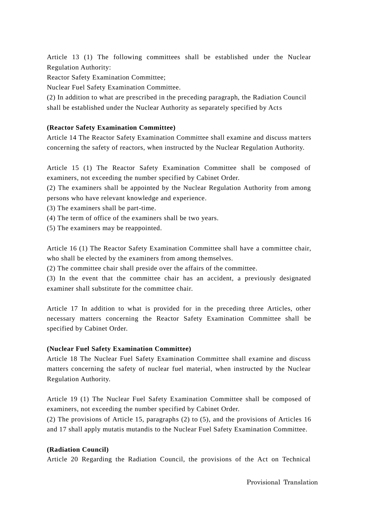Article 13 (1) The following committees shall be established under the Nuclear Regulation Authority:

Reactor Safety Examination Committee;

Nuclear Fuel Safety Examination Committee.

(2) In addition to what are prescribed in the preceding paragraph, the Radiation Council shall be established under the Nuclear Authority as separately specified by Acts

## **(Reactor Safety Examination Committee)**

Article 14 The Reactor Safety Examination Committee shall examine and discuss matters concerning the safety of reactors, when instructed by the Nuclear Regulation Authority.

Article 15 (1) The Reactor Safety Examination Committee shall be composed of examiners, not exceeding the number specified by Cabinet Order.

(2) The examiners shall be appointed by the Nuclear Regulation Authority from among persons who have relevant knowledge and experience.

(3) The examiners shall be part-time.

(4) The term of office of the examiners shall be two years.

(5) The examiners may be reappointed.

Article 16 (1) The Reactor Safety Examination Committee shall have a committee chair, who shall be elected by the examiners from among themselves.

(2) The committee chair shall preside over the affairs of the committee.

(3) In the event that the committee chair has an accident, a previously designated examiner shall substitute for the committee chair.

Article 17 In addition to what is provided for in the preceding three Articles, other necessary matters concerning the Reactor Safety Examination Committee shall be specified by Cabinet Order.

#### **(Nuclear Fuel Safety Examination Committee)**

Article 18 The Nuclear Fuel Safety Examination Committee shall examine and discuss matters concerning the safety of nuclear fuel material, when instructed by the Nuclear Regulation Authority.

Article 19 (1) The Nuclear Fuel Safety Examination Committee shall be composed of examiners, not exceeding the number specified by Cabinet Order.

(2) The provisions of Article 15, paragraphs (2) to (5), and the provisions of Articles 16 and 17 shall apply mutatis mutandis to the Nuclear Fuel Safety Examination Committee.

#### **(Radiation Council)**

Article 20 Regarding the Radiation Council, the provisions of the Act on Technical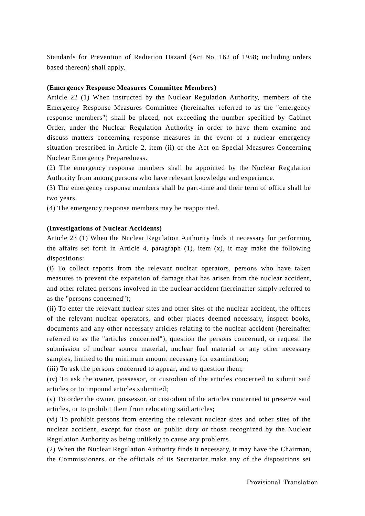Standards for Prevention of Radiation Hazard (Act No. 162 of 1958; including orders based thereon) shall apply.

#### **(Emergency Response Measures Committee Members)**

Article 22 (1) When instructed by the Nuclear Regulation Authority, members of the Emergency Response Measures Committee (hereinafter referred to as the "emergency response members") shall be placed, not exceeding the number specified by Cabinet Order, under the Nuclear Regulation Authority in order to have them examine and discuss matters concerning response measures in the event of a nuclear emergency situation prescribed in Article 2, item (ii) of the Act on Special Measures Concerning Nuclear Emergency Preparedness.

(2) The emergency response members shall be appointed by the Nuclear Regulation Authority from among persons who have relevant knowledge and experience.

(3) The emergency response members shall be part-time and their term of office shall be two years.

(4) The emergency response members may be reappointed.

#### **(Investigations of Nuclear Accidents)**

Article 23 (1) When the Nuclear Regulation Authority finds it necessary for performing the affairs set forth in Article 4, paragraph (1), item (x), it may make the following dispositions:

(i) To collect reports from the relevant nuclear operators, persons who have taken measures to prevent the expansion of damage that has arisen from the nuclear accident, and other related persons involved in the nuclear accident (hereinafter simply referred to as the "persons concerned");

(ii) To enter the relevant nuclear sites and other sites of the nuclear accident, the offices of the relevant nuclear operators, and other places deemed necessary, inspect books, documents and any other necessary articles relating to the nuclear accident (hereinafter referred to as the "articles concerned"), question the persons concerned, or request the submission of nuclear source material, nuclear fuel material or any other necessary samples, limited to the minimum amount necessary for examination;

(iii) To ask the persons concerned to appear, and to question them;

(iv) To ask the owner, possessor, or custodian of the articles concerned to submit said articles or to impound articles submitted;

(v) To order the owner, possessor, or custodian of the articles concerned to preserve said articles, or to prohibit them from relocating said articles;

(vi) To prohibit persons from entering the relevant nuclear sites and other sites of the nuclear accident, except for those on public duty or those recognized by the Nuclear Regulation Authority as being unlikely to cause any problems.

(2) When the Nuclear Regulation Authority finds it necessary, it may have the Chairman, the Commissioners, or the officials of its Secretariat make any of the dispositions set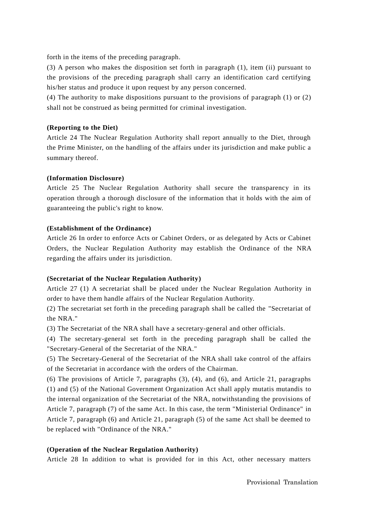forth in the items of the preceding paragraph.

(3) A person who makes the disposition set forth in paragraph (1), item (ii) pursuant to the provisions of the preceding paragraph shall carry an identification card certifying his/her status and produce it upon request by any person concerned.

(4) The authority to make dispositions pursuant to the provisions of paragraph (1) or (2) shall not be construed as being permitted for criminal investigation.

## **(Reporting to the Diet)**

Article 24 The Nuclear Regulation Authority shall report annually to the Diet, through the Prime Minister, on the handling of the affairs under its jurisdiction and make public a summary thereof.

## **(Information Disclosure)**

Article 25 The Nuclear Regulation Authority shall secure the transparency in its operation through a thorough disclosure of the information that it holds with the aim of guaranteeing the public's right to know.

## **(Establishment of the Ordinance)**

Article 26 In order to enforce Acts or Cabinet Orders, or as delegated by Acts or Cabinet Orders, the Nuclear Regulation Authority may establish the Ordinance of the NRA regarding the affairs under its jurisdiction.

## **(Secretariat of the Nuclear Regulation Authority)**

Article 27 (1) A secretariat shall be placed under the Nuclear Regulation Authority in order to have them handle affairs of the Nuclear Regulation Authority.

(2) The secretariat set forth in the preceding paragraph shall be called the "Secretariat of the NRA."

(3) The Secretariat of the NRA shall have a secretary-general and other officials.

(4) The secretary-general set forth in the preceding paragraph shall be called the "Secretary-General of the Secretariat of the NRA."

(5) The Secretary-General of the Secretariat of the NRA shall take control of the affairs of the Secretariat in accordance with the orders of the Chairman.

(6) The provisions of Article 7, paragraphs (3), (4), and (6), and Article 21, paragraphs (1) and (5) of the National Government Organization Act shall apply mutatis mutandis to the internal organization of the Secretariat of the NRA, notwithstanding the provisions of Article 7, paragraph (7) of the same Act. In this case, the term "Ministerial Ordinance" in Article 7, paragraph (6) and Article 21, paragraph (5) of the same Act shall be deemed to be replaced with "Ordinance of the NRA."

## **(Operation of the Nuclear Regulation Authority)**

Article 28 In addition to what is provided for in this Act, other necessary matters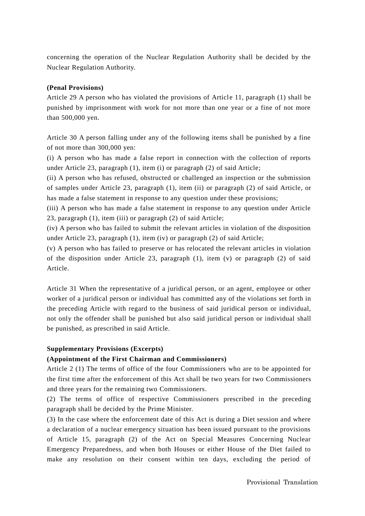concerning the operation of the Nuclear Regulation Authority shall be decided by the Nuclear Regulation Authority.

## **(Penal Provisions)**

Article 29 A person who has violated the provisions of Article 11, paragraph (1) shall be punished by imprisonment with work for not more than one year or a fine of not more than 500,000 yen.

Article 30 A person falling under any of the following items shall be punished by a fine of not more than 300,000 yen:

(i) A person who has made a false report in connection with the collection of reports under Article 23, paragraph (1), item (i) or paragraph (2) of said Article;

(ii) A person who has refused, obstructed or challenged an inspection or the submission of samples under Article 23, paragraph (1), item (ii) or paragraph (2) of said Article, or has made a false statement in response to any question under these provisions;

(iii) A person who has made a false statement in response to any question under Article 23, paragraph (1), item (iii) or paragraph (2) of said Article;

(iv) A person who has failed to submit the relevant articles in violation of the disposition under Article 23, paragraph (1), item (iv) or paragraph (2) of said Article;

(v) A person who has failed to preserve or has relocated the relevant articles in violation of the disposition under Article 23, paragraph (1), item (v) or paragraph (2) of said Article.

Article 31 When the representative of a juridical person, or an agent, employee or other worker of a juridical person or individual has committed any of the violations set forth in the preceding Article with regard to the business of said juridical person or individual, not only the offender shall be punished but also said juridical person or individual shall be punished, as prescribed in said Article.

#### **Supplementary Provisions (Excerpts)**

## **(Appointment of the First Chairman and Commissioners)**

Article 2 (1) The terms of office of the four Commissioners who are to be appointed for the first time after the enforcement of this Act shall be two years for two Commissioners and three years for the remaining two Commissioners.

(2) The terms of office of respective Commissioners prescribed in the preceding paragraph shall be decided by the Prime Minister.

(3) In the case where the enforcement date of this Act is during a Diet session and where a declaration of a nuclear emergency situation has been issued pursuant to the provisions of Article 15, paragraph (2) of the Act on Special Measures Concerning Nuclear Emergency Preparedness, and when both Houses or either House of the Diet failed to make any resolution on their consent within ten days, excluding the period of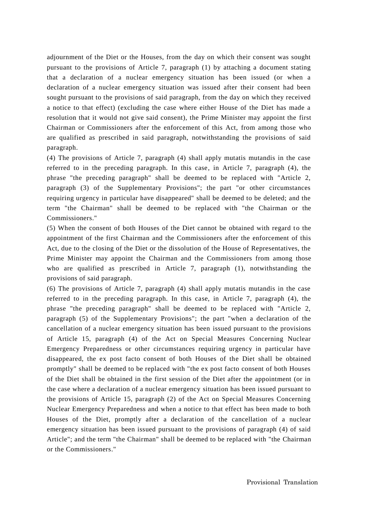adjournment of the Diet or the Houses, from the day on which their consent was sought pursuant to the provisions of Article 7, paragraph (1) by attaching a document stating that a declaration of a nuclear emergency situation has been issued (or when a declaration of a nuclear emergency situation was issued after their consent had been sought pursuant to the provisions of said paragraph, from the day on which they received a notice to that effect) (excluding the case where either House of the Diet has made a resolution that it would not give said consent), the Prime Minister may appoint the first Chairman or Commissioners after the enforcement of this Act, from among those who are qualified as prescribed in said paragraph, notwithstanding the provisions of said paragraph.

(4) The provisions of Article 7, paragraph (4) shall apply mutatis mutandis in the case referred to in the preceding paragraph. In this case, in Article 7, paragraph (4), the phrase "the preceding paragraph" shall be deemed to be replaced with "Article 2, paragraph (3) of the Supplementary Provisions"; the part "or other circumstances requiring urgency in particular have disappeared" shall be deemed to be deleted; and the term "the Chairman" shall be deemed to be replaced with "the Chairman or the Commissioners."

(5) When the consent of both Houses of the Diet cannot be obtained with regard to the appointment of the first Chairman and the Commissioners after the enforcement of this Act, due to the closing of the Diet or the dissolution of the House of Representatives, the Prime Minister may appoint the Chairman and the Commissioners from among those who are qualified as prescribed in Article 7, paragraph (1), notwithstanding the provisions of said paragraph.

(6) The provisions of Article 7, paragraph (4) shall apply mutatis mutandis in the case referred to in the preceding paragraph. In this case, in Article 7, paragraph (4), the phrase "the preceding paragraph" shall be deemed to be replaced with "Article 2, paragraph (5) of the Supplementary Provisions"; the part "when a declaration of the cancellation of a nuclear emergency situation has been issued pursuant to the provisions of Article 15, paragraph (4) of the Act on Special Measures Concerning Nuclear Emergency Preparedness or other circumstances requiring urgency in particular have disappeared, the ex post facto consent of both Houses of the Diet shall be obtained promptly" shall be deemed to be replaced with "the ex post facto consent of both Houses of the Diet shall be obtained in the first session of the Diet after the appointment (or in the case where a declaration of a nuclear emergency situation has been issued pursuant to the provisions of Article 15, paragraph (2) of the Act on Special Measures Concerning Nuclear Emergency Preparedness and when a notice to that effect has been made to both Houses of the Diet, promptly after a declaration of the cancellation of a nuclear emergency situation has been issued pursuant to the provisions of paragraph (4) of said Article"; and the term "the Chairman" shall be deemed to be replaced with "the Chairman or the Commissioners."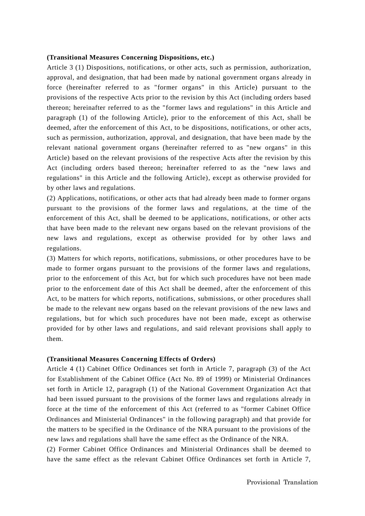#### **(Transitional Measures Concerning Dispositions, etc.)**

Article 3 (1) Dispositions, notifications, or other acts, such as permission, authorization, approval, and designation, that had been made by national government organs already in force (hereinafter referred to as "former organs" in this Article) pursuant to the provisions of the respective Acts prior to the revision by this Act (including orders based thereon; hereinafter referred to as the "former laws and regulations" in this Article and paragraph (1) of the following Article), prior to the enforcement of this Act, shall be deemed, after the enforcement of this Act, to be dispositions, notifications, or other acts, such as permission, authorization, approval, and designation, that have been made by the relevant national government organs (hereinafter referred to as "new organs" in this Article) based on the relevant provisions of the respective Acts after the revision by this Act (including orders based thereon; hereinafter referred to as the "new laws and regulations" in this Article and the following Article), except as otherwise provided for by other laws and regulations.

(2) Applications, notifications, or other acts that had already been made to former organs pursuant to the provisions of the former laws and regulations, at the time of the enforcement of this Act, shall be deemed to be applications, notifications, or other acts that have been made to the relevant new organs based on the relevant provisions of the new laws and regulations, except as otherwise provided for by other laws and regulations.

(3) Matters for which reports, notifications, submissions, or other procedures have to be made to former organs pursuant to the provisions of the former laws and regulations, prior to the enforcement of this Act, but for which such procedures have not been made prior to the enforcement date of this Act shall be deemed, after the enforcement of this Act, to be matters for which reports, notifications, submissions, or other procedures shall be made to the relevant new organs based on the relevant provisions of the new laws and regulations, but for which such procedures have not been made, except as otherwise provided for by other laws and regulations, and said relevant provisions shall apply to them.

#### **(Transitional Measures Concerning Effects of Orders)**

Article 4 (1) Cabinet Office Ordinances set forth in Article 7, paragraph (3) of the Act for Establishment of the Cabinet Office (Act No. 89 of 1999) or Ministerial Ordinances set forth in Article 12, paragraph (1) of the National Government Organization Act that had been issued pursuant to the provisions of the former laws and regulations already in force at the time of the enforcement of this Act (referred to as "former Cabinet Office Ordinances and Ministerial Ordinances" in the following paragraph) and that provide for the matters to be specified in the Ordinance of the NRA pursuant to the provisions of the new laws and regulations shall have the same effect as the Ordinance of the NRA.

(2) Former Cabinet Office Ordinances and Ministerial Ordinances shall be deemed to have the same effect as the relevant Cabinet Office Ordinances set forth in Article 7,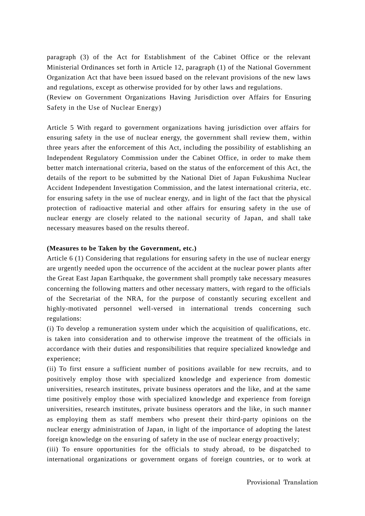paragraph (3) of the Act for Establishment of the Cabinet Office or the relevant Ministerial Ordinances set forth in Article 12, paragraph (1) of the National Government Organization Act that have been issued based on the relevant provisions of the new laws and regulations, except as otherwise provided for by other laws and regulations.

(Review on Government Organizations Having Jurisdiction over Affairs for Ensuring Safety in the Use of Nuclear Energy)

Article 5 With regard to government organizations having jurisdiction over affairs for ensuring safety in the use of nuclear energy, the government shall review them, within three years after the enforcement of this Act, including the possibility of establishing an Independent Regulatory Commission under the Cabinet Office, in order to make them better match international criteria, based on the status of the enforcement of this Act, the details of the report to be submitted by the National Diet of Japan Fukushima Nuclear Accident Independent Investigation Commission, and the latest international criteria, etc. for ensuring safety in the use of nuclear energy, and in light of the fact that the physical protection of radioactive material and other affairs for ensuring safety in the use of nuclear energy are closely related to the national security of Japan, and shall take necessary measures based on the results thereof.

## **(Measures to be Taken by the Government, etc.)**

Article 6 (1) Considering that regulations for ensuring safety in the use of nuclear energy are urgently needed upon the occurrence of the accident at the nuclear power plants after the Great East Japan Earthquake, the government shall promptly take necessary measures concerning the following matters and other necessary matters, with regard to the officials of the Secretariat of the NRA, for the purpose of constantly securing excellent and highly-motivated personnel well-versed in international trends concerning such regulations:

(i) To develop a remuneration system under which the acquisition of qualifications, etc. is taken into consideration and to otherwise improve the treatment of the officials in accordance with their duties and responsibilities that require specialized knowledge and experience;

(ii) To first ensure a sufficient number of positions available for new recruits, and to positively employ those with specialized knowledge and experience from domestic universities, research institutes, private business operators and the like, and at the same time positively employ those with specialized knowledge and experience from foreign universities, research institutes, private business operators and the like, in such manner as employing them as staff members who present their third-party opinions on the nuclear energy administration of Japan, in light of the importance of adopting the latest foreign knowledge on the ensuring of safety in the use of nuclear energy proactively;

(iii) To ensure opportunities for the officials to study abroad, to be dispatched to international organizations or government organs of foreign countries, or to work at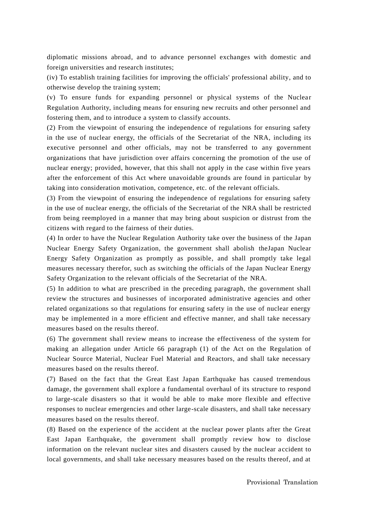diplomatic missions abroad, and to advance personnel exchanges with domestic and foreign universities and research institutes;

(iv) To establish training facilities for improving the officials' professional ability, and to otherwise develop the training system;

 $(v)$  To ensure funds for expanding personnel or physical systems of the Nuclear Regulation Authority, including means for ensuring new recruits and other personnel and fostering them, and to introduce a system to classify accounts.

(2) From the viewpoint of ensuring the independence of regulations for ensuring safety in the use of nuclear energy, the officials of the Secretariat of the NRA, including its executive personnel and other officials, may not be transferred to any government organizations that have jurisdiction over affairs concerning the promotion of the use of nuclear energy; provided, however, that this shall not apply in the case within five years after the enforcement of this Act where unavoidable grounds are found in particular by taking into consideration motivation, competence, etc. of the relevant officials.

(3) From the viewpoint of ensuring the independence of regulations for ensuring safety in the use of nuclear energy, the officials of the Secretariat of the NRA shall be restricted from being reemployed in a manner that may bring about suspicion or distrust from the citizens with regard to the fairness of their duties.

(4) In order to have the Nuclear Regulation Authority take over the business of the Japan Nuclear Energy Safety Organization, the government shall abolish theJapan Nuclear Energy Safety Organization as promptly as possible, and shall promptly take legal measures necessary therefor, such as switching the officials of the Japan Nuclear Energy Safety Organization to the relevant officials of the Secretariat of the NRA.

(5) In addition to what are prescribed in the preceding paragraph, the government shall review the structures and businesses of incorporated administrative agencies and other related organizations so that regulations for ensuring safety in the use of nuclear energy may be implemented in a more efficient and effective manner, and shall take necessary measures based on the results thereof.

(6) The government shall review means to increase the effectiveness of the system for making an allegation under Article 66 paragraph (1) of the Act on the Regulation of Nuclear Source Material, Nuclear Fuel Material and Reactors, and shall take necessary measures based on the results thereof.

(7) Based on the fact that the Great East Japan Earthquake has caused tremendous damage, the government shall explore a fundamental overhaul of its structure to respond to large-scale disasters so that it would be able to make more flexible and effective responses to nuclear emergencies and other large-scale disasters, and shall take necessary measures based on the results thereof.

(8) Based on the experience of the accident at the nuclear power plants after the Great East Japan Earthquake, the government shall promptly review how to disclose information on the relevant nuclear sites and disasters caused by the nuclear a ccident to local governments, and shall take necessary measures based on the results thereof, and at